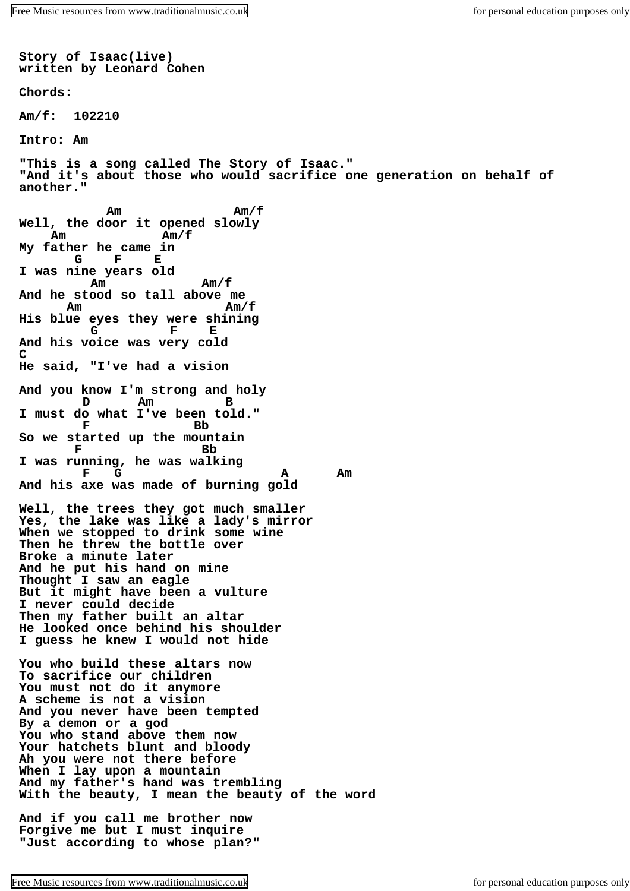**Story of Isaac(live) written by Leonard Cohen Chords: Am/f: 102210 Intro: Am "This is a song called The Story of Isaac." "And it's about those who would sacrifice one generation on behalf of another." Am Am/f Well, the door it opened slowly Am Am/f My father he came in G F E I was nine years old Am Am Am Am Am And he stood so tall above me Am Am/f His blue eyes they were shining G F E And his voice was very cold C He said, "I've had a vision And you know I'm strong and holy D Am B I must do what I've been told." F Bb So we started up the mountain F** Bb **I was running, he was walking F G A Am And his axe was made of burning gold Well, the trees they got much smaller Yes, the lake was like a lady's mirror When we stopped to drink some wine Then he threw the bottle over Broke a minute later And he put his hand on mine Thought I saw an eagle But it might have been a vulture I never could decide Then my father built an altar He looked once behind his shoulder I guess he knew I would not hide You who build these altars now To sacrifice our children You must not do it anymore A scheme is not a vision And you never have been tempted By a demon or a god You who stand above them now Your hatchets blunt and bloody Ah you were not there before When I lay upon a mountain And my father's hand was trembling With the beauty, I mean the beauty of the word And if you call me brother now Forgive me but I must inquire "Just according to whose plan?"**